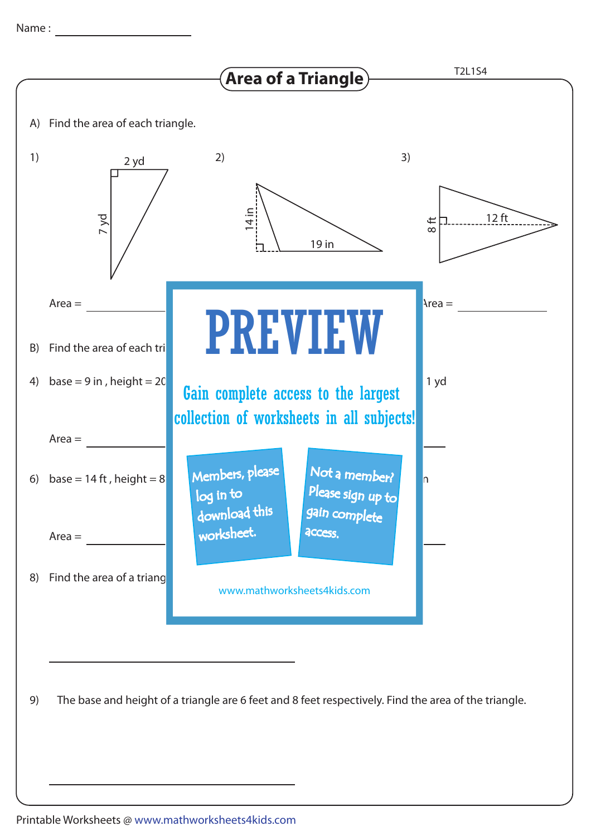